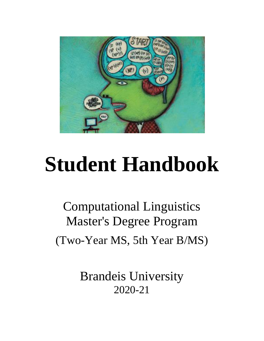

# **Student Handbook**

Computational Linguistics Master's Degree Program (Two-Year MS, 5th Year B/MS)

> Brandeis University 2020-21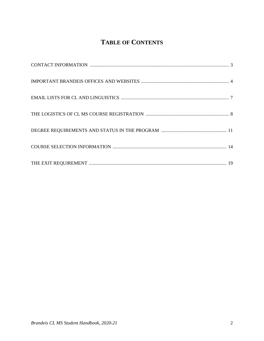## **TABLE OF CONTENTS**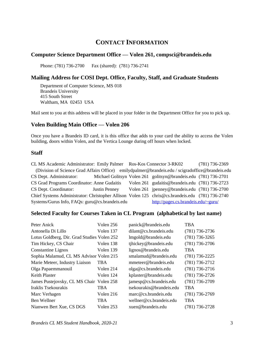## **CONTACT INFORMATION**

#### **Computer Science Department Office — Volen 261, compsci@brandeis.edu**

Phone: (781) 736-2700 Fax (shared): (781) 736-2741

#### **Mailing Address for COSI Dept. Office, Faculty, Staff, and Graduate Students**

Department of Computer Science, MS 018 Brandeis University 415 South Street Waltham, MA 02453 USA

Mail sent to you at this address will be placed in your folder in the Department Office for you to pick up.

#### **Volen Building Main Office — Volen 206**

Once you have a Brandeis ID card, it is this office that adds to your card the ability to access the Volen building, doors within Volen, and the Vertica Lounge during off hours when locked.

#### **Staff**

| CL MS Academic Administrator: Emily Palmer Ros-Kos Connector 3-RK02                              |                      |                                                                 | $(781)$ 736-2369 |
|--------------------------------------------------------------------------------------------------|----------------------|-----------------------------------------------------------------|------------------|
| (Division of Science Grad Affairs Office) emilydpalmer@brandeis.edu / scigradoffice@brandeis.edu |                      |                                                                 |                  |
| CS Dept. Administrator:                                                                          |                      | Michael Golitsyn Volen 261 golitsyn@brandeis.edu (781) 736-2701 |                  |
| CS Grad Programs Coordinator: Anne Gudaitis                                                      |                      | Volen 261 gudaitis@brandeis.edu (781) 736-2723                  |                  |
| CS Dept. Coordinator:                                                                            | <b>Justin Penney</b> | Volen 261 jpenney@brandeis.edu (781) 736-2700                   |                  |
| Chief Systems Administrator: Christopher Allison Volen 125 chris@cs.brandeis.edu (781) 736-2740  |                      |                                                                 |                  |
| Systems/Gurus Info, FAQs: guru@cs.brandeis.edu                                                   |                      | http://pages.cs.brandeis.edu/~guru/                             |                  |

#### **Selected Faculty for Courses Taken in CL Program (alphabetical by last name)**

| Peter Anick                                 | Volen 256  | panick@brandeis.edu      | <b>TBA</b>         |
|---------------------------------------------|------------|--------------------------|--------------------|
| Antonella Di Lillo                          | Volen 137  | dilant@cs.brandeis.edu   | $(781)$ 736-2736   |
| Lotus Goldberg, Dir. Grad Studies Volen 252 |            | lmgold@brandeis.edu      | $(781)$ 736-3265   |
| Tim Hickey, CS Chair                        | Volen 138  | tjhickey@brandeis.edu    | $(781) 736 - 2706$ |
| <b>Constantine Lignos</b>                   | Volen 139  | lignos@brandeis.edu      | <b>TBA</b>         |
| Sophia Malamud, CL MS Advisor Volen 215     |            | smalamud@brandeis.edu    | $(781)$ 736-2225   |
| Marie Meteer, Industry Liaison              | <b>TBA</b> | mmeteer@brandeis.edu     | $(781) 736 - 2712$ |
| Olga Papaemmanouil                          | Volen 214  | olga@cs. brandeis.edu    | $(781) 736 - 2716$ |
| <b>Keith Plaster</b>                        | Volen 124  | kplaster@brandeis.edu    | $(781) 736 - 2726$ |
| James Pustejovsky, CL MS Chair Volen 258    |            | jamesp@cs.brandeis.edu   | $(781)$ 736-2709   |
| Iraklis Tsekourakis                         | <b>TBA</b> | tsekourakis@brandeis.edu | <b>TBA</b>         |
| Marc Verhagen                               | Volen 216  | $marc@cs.$ brandeis.edu  | $(781)$ 736-2769   |
| Ben Wellner                                 | <b>TBA</b> | wellner@cs.brandeis.edu  | <b>TBA</b>         |
| Nianwen Bert Xue, CS DGS                    | Volen 253  | xuen@brandeis.edu        | $(781)$ 736-2728   |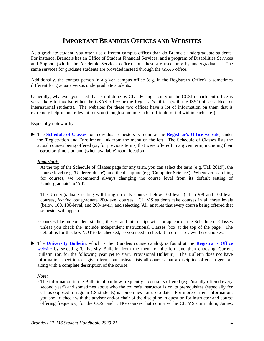## **IMPORTANT BRANDEIS OFFICES AND WEBSITES**

As a graduate student, you often use different campus offices than do Brandeis undergraduate students. For instance, Brandeis has an Office of Student Financial Services, and a program of Disabilities Services and Support (within the Academic Services office)—but these are used only by undergraduates. The same services for graduate students are provided instead through the GSAS office.

Additionally, the contact person in a given campus office (e.g. in the Registrar's Office) is sometimes different for graduate versus undergraduate students.

Generally, whatever you need that is not done by CL advising faculty or the COSI department office is very likely to involve either the GSAS office or the Registrar's Office (with the ISSO office added for international students). The websites for these two offices have a lot of information on them that is extremely helpful and relevant for you (though sometimes a bit difficult to find within each site!).

Especially noteworthy:

 The **[Schedule of Classes](https://www.brandeis.edu/registrar/registration/schedule.html)** for individual semesters is found at the **[Registrar's Office](https://www.brandeis.edu/registrar/)** website, under the 'Registration and Enrollment' link from the menu on the left. The Schedule of Classes lists the actual courses being offered (or, for previous terms, that were offered) in a given term, including their instructor, time slot, and (when available) room location.

#### *Important:*

 At the top of the Schedule of Classes page for any term, you can select the term (e.g. 'Fall 2019'), the course level (e.g. 'Undergraduate'), and the discipline (e.g. 'Computer Science'). Whenever searching for courses, we recommend always changing the course level from its default setting of 'Undergraduate' to 'All'.

The 'Undergraduate' setting will bring up only courses below 100-level  $(=1 \text{ to } 99)$  and 100-level courses, *leaving out* graduate 200-level courses. CL MS students take courses in all three levels (below 100, 100-level, and 200-level), and selecting 'All' ensures that every course being offered that semester will appear.

- Courses like independent studies, theses, and internships will not appear on the Schedule of Classes unless you check the 'Include Independent Instructional Classes' box at the top of the page. The default is for this box NOT to be checked, so you need to check it in order to view these courses.
- The **[University Bulletin](https://www.brandeis.edu/registrar/bulletin/index.html)**, which is the Brandeis course catalog, is found at the **[Registrar's Office](https://www.brandeis.edu/registrar/index.html)** [website](https://www.brandeis.edu/registrar/index.html) by selecting 'University Bulletin' from the menu on the left, and then choosing 'Current Bulletin' (or, for the following year yet to start, 'Provisional Bulletin'). The Bulletin does not have information specific to a given term, but instead lists all courses that a discipline offers in general, along with a complete description of the course.

#### *Note:*

 The information in the Bulletin about how frequently a course is offered (e.g. 'usually offered every second year') and sometimes about who the course's instructor is or its prerequisites (especially for CL as opposed to regular CS students) is sometimes not up to date. For more current information, you should check with the advisor and/or chair of the discipline in question for instructor and course offering frequency; for the COSI and LING courses that comprise the CL MS curriculum, James,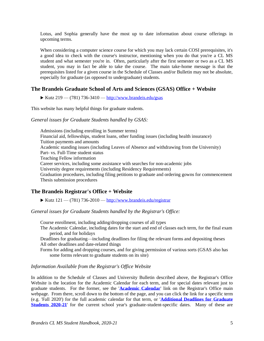Lotus, and Sophia generally have the most up to date information about course offerings in upcoming terms.

When considering a computer science course for which you may lack certain COSI prerequisites, it's a good idea to check with the course's instructor, mentioning when you do that you're a CL MS student and what semester you're in. Often, particularly after the first semester or two as a CL MS student, you may in fact be able to take the course. The main take-home message is that the prerequisites listed for a given course in the Schedule of Classes and/or Bulletin may not be absolute, especially for graduate (as opposed to undergraduate) students.

#### **The Brandeis Graduate School of Arts and Sciences (GSAS) Office + Website**

Kutz  $219 - (781)$  736-3410 — <http://www.brandeis.edu/gsas>

This website has many helpful things for graduate students.

#### *General issues for Graduate Students handled by GSAS:*

Admissions (including enrolling in Summer terms) Financial aid, fellowships, student loans, other funding issues (including health insurance) Tuition payments and amounts Academic standing issues (including Leaves of Absence and withdrawing from the University) Part- vs. Full-Time student status Teaching Fellow information Career services, including some assistance with searches for non-academic jobs University degree requirements (including Residency Requirements) Graduation procedures, including filing petitions to graduate and ordering gowns for commencement Thesis submission procedures

#### **The Brandeis Registrar's Office + Website**

Kutz  $121 - (781)$  736-2010 — <http://www.brandeis.edu/registrar>

*General issues for Graduate Students handled by the Registrar's Office:*

Course enrollment, including adding/dropping courses of all types

The Academic Calendar, including dates for the start and end of classes each term, for the final exam period, and for holidays

Deadlines for graduating—including deadlines for filing the relevant forms and depositing theses All other deadlines and date-related things

Forms for adding and dropping courses, and for giving permission of various sorts (GSAS also has some forms relevant to graduate students on its site)

#### *Information Available from the Registrar's Office Website*

In addition to the Schedule of Classes and University Bulletin described above, the Registrar's Office Website is the location for the Academic Calendar for each term, and for special dates relevant just to graduate students. For the former, see the '**[Academic Calendar](https://www.brandeis.edu/registrar/calendar/index.html)**' link on the Registrar's Office main webpage. From there, scroll down to the bottom of the page, and you can click the link for a specific term (e.g. 'Fall 2020') for the full academic calendar for that term, or '**[Additional Deadlines for Graduate](https://www.brandeis.edu/registrar/calendar/grad-key-dates-20-21.html)  [Students 2020-21](https://www.brandeis.edu/registrar/calendar/grad-key-dates-20-21.html)**' for the current school year's graduate-student-specific dates. Many of these are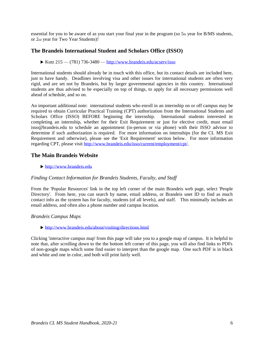essential for you to be aware of as you start your final year in the program (so 5th year for B/MS students, or 2nd year for Two Year Students)!

#### **The Brandeis International Student and Scholars Office (ISSO)**

 $\triangleright$  Kutz 215 — (781) 736-3480 — <http://www.brandeis.edu/acserv/isso>

International students should already be in touch with this office, but its contact details are included here, just to have handy. Deadlines involving visa and other issues for international students are often very rigid, and are set not by Brandeis, but by larger governmental agencies in this country. International students are thus advised to be especially on top of things, to apply for all necessary permissions well ahead of schedule, and so on.

An important additional note: international students who enroll in an internship on or off campus may be required to obtain Curricular Practical Training (CPT) authorization from the International Students and Scholars Office (ISSO) BEFORE beginning the internship. International students interested in completing an internship, whether for their Exit Requirement or just for elective credit, must email isso@brandeis.edu to schedule an appointment (in-person or via phone) with their ISSO advisor to determine if such authorization is required. For more information on internships (for the CL MS Exit Requirement and otherwise), please see the 'Exit Requirement' section below. For more information regarding CPT, please visit [http://www.brandeis.edu/isso/current/employment/cpt/.](http://www.brandeis.edu/isso/current/employment/cpt/)

#### **The Main Brandeis Website**

[http://www.brandeis.edu](http://www.brandeis.edu/)

#### *Finding Contact Information for Brandeis Students, Faculty, and Staff*

From the 'Popular Resources' link in the top left corner of the main Brandeis web page, select 'People Directory'. From here, you can search by name, email address, or Brandeis unet ID to find as much contact info as the system has for faculty, students (of all levels), and staff. This minimally includes an email address, and often also a phone number and campus location.

#### *Brandeis Campus Maps*

<http://www.brandeis.edu/about/visiting/directions.html>

Clicking 'interactive campus map' from this page will take you to a google map of campus. It is helpful to note that, after scrolling down to the the bottom left corner of this page, you will also find links to PDFs of non-google maps which some find easier to interpret than the google map. One such PDF is in black and white and one in color, and both will print fairly well.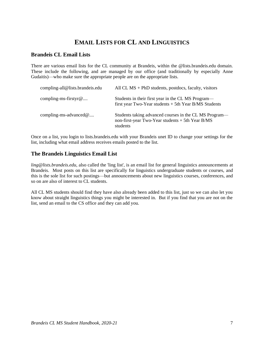## **EMAIL LISTS FOR CL AND LINGUISTICS**

#### **Brandeis CL Email Lists**

There are various email lists for the CL community at Brandeis, within the @lists.brandeis.edu domain. These include the following, and are managed by our office (and traditionally by especially Anne Gudaitis)—who make sure the appropriate people are on the appropriate lists.

| compling-all@lists.brandeis.edu | All CL $MS$ + PhD students, postdocs, faculty, visitors                                                                  |
|---------------------------------|--------------------------------------------------------------------------------------------------------------------------|
| compling-ms-firstyr $@$         | Students in their first year in the CL MS Program—<br>first year Two-Year students $+$ 5th Year B/MS Students            |
| compling-ms-advanced $@$        | Students taking advanced courses in the CL MS Program—<br>non-first-year Two-Year students $+$ 5th Year B/MS<br>students |

Once on a list, you login to lists.brandeis.edu with your Brandeis unet ID to change your settings for the list, including what email address receives emails posted to the list.

#### **The Brandeis Linguistics Email List**

*ling@lists.brandeis.edu*, also called the 'ling list', is an email list for general linguistics announcements at Brandeis. Most posts on this list are specifically for linguistics undergraduate students or courses, and this is the sole list for such postings—but announcements about new linguistics courses, conferences, and so on are also of interest to CL students.

All CL MS students should find they have also already been added to this list, just so we can also let you know about straight linguistics things you might be interested in. But if you find that you are not on the list, send an email to the CS office and they can add you.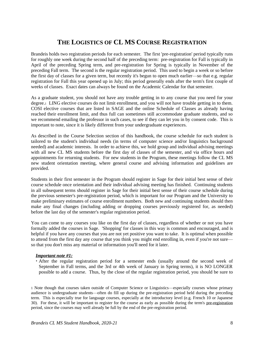## **THE LOGISTICS OF CL MS COURSE REGISTRATION**

Brandeis holds two registration periods for each semester. The first 'pre-registration' period typically runs for roughly one week during the second half of the preceding term: pre-registration for Fall is typically in April of the preceding Spring term, and pre-registration for Spring is typically in November of the preceding Fall term. The second is the regular registration period. This used to begin a week or so before the first day of classes for a given term, but recently it's begun to open much earlier—so that e.g. regular registration for Fall this year opened up in July; this period generally ends after the term's first couple of weeks of classes. Exact dates can always be found on the Academic Calendar for that semester.

As a graduate student, you should not have any trouble getting in to any course that you need for your degree.1 LING elective courses do not limit enrollment, and you will not have trouble getting in to them. COSI elective courses that are listed in SAGE and the online Schedule of Classes as already having reached their enrollment limit, and thus full can sometimes still accommodate graduate students, and so we recommend emailing the professor in such cases, to see if they can let you in by consent code. This is important to note, since it is likely different from your undergraduate experiences.

As described in the Course Selection section of this handbook, the course schedule for each student is tailored to the student's individual needs (in terms of computer science and/or linguistics background needed) and academic interests. In order to achieve this, we hold group and individual advising meetings with all new CL MS students before the first day of classes of the semester, and via office hours and appointments for returning students. For new students in the Program, these meetings follow the CL MS new student orientation meeting, where general course and advising information and guidelines are provided.

Students in their first semester in the Program should register in Sage for their initial best sense of their course schedule once orientation and their individual advising meeting has finished. Continuing students in all subsequent terms should register in Sage for their initial best sense of their course schedule during the previous semester's pre-registration period, which is important for our Program and the University to make preliminary estimates of course enrollment numbers. Both new and continuing students should then make any final changes (including adding or dropping courses previously registered for, as needed) before the last day of the semester's regular registration period.

You can come to any courses you like on the first day of classes, regardless of whether or not you have formally added the courses in Sage. 'Shopping' for classes in this way is common and encouraged, and is helpful if you have any courses that you are not yet positive you want to take. It is optimal when possible to attend from the first day any course that you think you might end enrolling in, even if you're not sure so that you don't miss any material or information you'll need for it later.

#### *Important note #1:*

 After the regular registration period for a semester ends (usually around the second week of September in Fall terms, and the 3rd or 4th week of January in Spring terms), it is NO LONGER possible to add a course. Thus, by the close of the regular registration period, you should be sure to

1 Note though that courses taken outside of Computer Science or Linguistics—especially courses whose primary audience is undergraduate students—often do fill up during the pre-registration period held during the preceding term. This is especially true for language courses, especially at the introductory level (e.g. French 10 or Japanese 30). For these, it will be important to register for the course as early as possible during the term's pre-registration period, since the courses may well already be full by the end of the pre-registration period.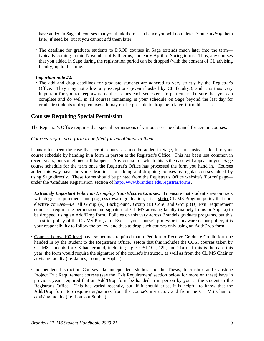have added in Sage all courses that you think there is a chance you will complete. You can *drop* them later, if need be, but it you cannot *add* them later.

 The deadline for graduate students to DROP courses in Sage extends much later into the term typically coming in mid-November of Fall terms, and early April of Spring terms. Thus, any courses that you added in Sage during the registration period can be dropped (with the consent of CL advising faculty) up to this time.

#### *Important note #2:*

 The add and drop deadlines for graduate students are adhered to very strictly by the Registrar's Office. They may not allow any exceptions (even if asked by CL faculty!), and it is thus very important for you to keep aware of these dates each semester. In particular: be sure that you can complete and do well in all courses remaining in your schedule on Sage beyond the last day for graduate students to drop courses. It may not be possible to drop them later, if troubles arise.

#### **Courses Requiring Special Permission**

The Registrar's Office requires that special permissions of various sorts be obtained for certain courses.

#### *Courses requiring a form to be filed for enrollment in them*

It has often been the case that certain courses cannot be added in Sage, but are instead added to your course schedule by handing in a form in person at the Registrar's Office. This has been less common in recent years, but sometimes still happens. Any course for which this is the case will appear in your Sage course schedule for the term once the Registrar's Office has processed the form you hand in. Courses added this way have the same deadlines for adding and dropping courses as regular courses added by using Sage directly. These forms should be printed from the Registrar's Office website's 'Forms' page under the 'Graduate Registration' section of [http://www.brandeis.edu/registrar/forms.](http://www.brandeis.edu/registrar/forms)

- *Extremely Important Policy on Dropping Non-Elective Courses:* To ensure that student stays on track with degree requirements and progress toward graduation, it is a **strict** CL MS Program policy that nonelective courses—i.e. all Group (A) Background, Group (B) Core, and Group (D) Exit Requirement courses—require the permission and signature of CL MS advising faculty (namely Lotus or Sophia) to be dropped, using an Add/Drop form. Policies on this vary across Brandeis graduate programs, but this is a strict policy of the CL MS Program. Even if your course's professor is unaware of our policy, it is your responsibility to follow the policy, and thus to drop such courses only using an Add/Drop form.
- Courses below 100-level have sometimes required that a 'Petition to Receive Graduate Credit' form be handed in by the student to the Registrar's Office. (Note that this includes the COSI courses taken by CL MS students for CS background, including e.g. COSI 10a, 12b, and 21a.) If this is the case this year, the form would require the signature of the course's instructor, as well as from the CL MS Chair or advising faculty (i.e. James, Lotus, or Sophia).
- Independent Instruction Courses like independent studies and the Thesis, Internship, and Capstone Project Exit Requirement courses (see the 'Exit Requirement' section below for more on these) have in previous years required that an Add/Drop form be handed in in person by you as the student to the Registrar's Office. This has varied recently, but, if it should arise, it is helpful to know that the Add/Drop form too requires signatures from the course's instructor, and from the CL MS Chair or advising faculty (i.e. Lotus or Sophia).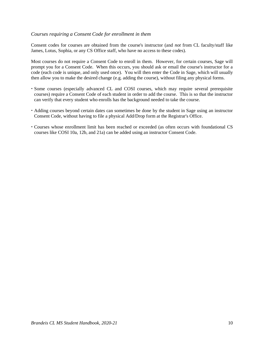#### *Courses requiring a Consent Code for enrollment in them*

Consent codes for courses are obtained from the course's instructor (and *not* from CL faculty/staff like James, Lotus, Sophia, or any CS Office staff, who have no access to these codes).

Most courses do not require a Consent Code to enroll in them. However, for certain courses, Sage will prompt you for a Consent Code. When this occurs, you should ask or email the course's instructor for a code (each code is unique, and only used once). You will then enter the Code in Sage, which will usually then allow you to make the desired change (e.g. adding the course), without filing any physical forms.

- Some courses (especially advanced CL and COSI courses, which may require several prerequisite courses) require a Consent Code of each student in order to add the course. This is so that the instructor can verify that every student who enrolls has the background needed to take the course.
- Adding courses beyond certain dates can sometimes be done by the student in Sage using an instructor Consent Code, without having to file a physical Add/Drop form at the Registrar's Office.
- Courses whose enrollment limit has been reached or exceeded (as often occurs with foundational CS courses like COSI 10a, 12b, and 21a) can be added using an instructor Consent Code.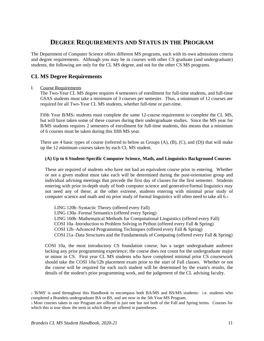## **DEGREE REQUIREMENTS AND STATUS IN THE PROGRAM**

The Department of Computer Science offers different MS programs, each with its own admissions criteria and degree requirements. Although you may be in courses with other CS graduate (and undergraduate) students, the following are only for the CL MS degree, and not for the other CS MS programs.

### **CL MS Degree Requirements**

#### I. Course Requirements

The Two-Year CL MS degree requires 4 semesters of enrollment for full-time students, and full-time GSAS students must take a minimum of 3 courses per semester. Thus, a minimum of 12 courses are required for all Two-Year CL MS students, whether full-time or part-time.

Fifth Year B/MS<sup>2</sup> students must complete the same 12-course requirement to complete the CL MS, but will have taken some of these courses during their undergraduate studies. Since the MS year for B/MS students requires 2 semesters of enrollment for full-time students, this means that a minimum of 6 courses must be taken during this fifth MS year.

There are 4 basic types of course (referred to below as Groups (A), (B), (C), and (D)) that will make up the 12 minimum courses taken by each CL MS student.

#### **(A) Up to 6 Student-Specific Computer Science, Math, and Linguistics Background Courses**

These are required of students who have not had an equivalent course prior to entering. Whether or not a given student must take each will be determined during the post-orientation group and individual advising meetings that precede the first day of classes for the first semester. Students entering with prior in-depth study of both computer science and generative/formal linguistics may not need any of these; at the other extreme, students entering with minimal prior study of computer science and math and no prior study of formal linguistics will often need to take all 6.<sup>3</sup>

LING 120b–Syntactic Theory (offered every Fall) LING 130a–Formal Semantics (offered every Spring) LING 160b–Mathematical Methods for Computational Linguistics (offered every Fall) COSI 10a–Introduction to Problem Solving in Python (offered every Fall & Spring) COSI 12b–Advanced Programming Techniques (offered every Fall & Spring) COSI 21a–Data Structures and the Fundamentals of Computing (offered every Fall & Spring)

COSI 10a, the most introductory CS foundation course, has a target undergraduate audience lacking any prior programming experience; the course does not count for the undergraduate major or minor in CS. First year CL MS students who have completed minimal prior CS coursework should take the COSI 10a/12b placement exam prior to the start of Fall classes. Whether or not the course will be required for each such student will be determined by the exam's results, the details of the student's prior programming work, and the judgement of the CL advising faculty.

<sup>2</sup> 'B/MS' is used throughout this Handbook to encompass both BA/MS and BS/MS students: i.e. students who completed a Brandeis undergraduate BA or BS, and are now in the 5th Year MS Program.

<sup>3</sup> Most courses taken in our Program are offered in just one but not both of the Fall and Spring terms. Courses for which this is true show the term in which they are offered in parentheses.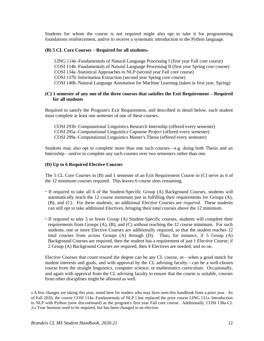Students for whom the course is not required might also opt to take it for programming foundations reinforcement, and/or to receive a systematic introduction to the Python language.

#### **(B) 5 CL Core Courses – Required for all students**<sup>4</sup>

LING 114a–Fundamentals of Natural Language Processing I (first year Fall core course) COSI 114b–Fundamentals of Natural Language Processing II (first year Spring core course) COSI 134a–Statistical Approaches to NLP (second year Fall core course) COSI 137b–Information Extraction (second year Spring core course) COSI 140b–Natural Language Annotation for Machine Learning (taken in first year, Spring)

#### **(C) 1 semester of any one of the three courses that satisfies the Exit Requirement – Required for all students**

Required to satisfy the Program's Exit Requirement, and described in detail below, each student must complete at least one semester of one of these courses.

COSI 293b–Computational Linguistics Research Internship (offered every semester) COSI 295a–Computational Linguistics Capstone Project (offered every semester) COSI 299a–Computational Linguistics Master's Thesis (offered every semester)

Students may also opt to complete more than one such courses—e.g. doing both Thesis and an Internship—and/or to complete any such courses over two semesters rather than one.

#### **(D) Up to 6 Required Elective Courses**

The 5 CL Core Courses in (B) and 1 semester of an Exit Requirement Course in (C) serve as 6 of the 12 minimum courses required. This leaves 6 course slots remaining.

- If required to take all 6 of the Student-Specific Group (A) Background Courses, students will automatically reach the 12 course minimum just in fulfilling their requirements for Groups (A), (B), and (C). For these students, no additional Elective Courses are *required*. These students can still opt to take additional Electives, bringing their total courses above the 12 minimum.
- If required to take 5 or fewer Group (A) Student-Specific courses, students will complete their requirements from Groups (A), (B), and (C) *without* reaching the 12 course minimum. For such students, one or more Elective Courses are additionally required, so that the student reaches 12 total courses from across Groups (A) through (D). Thus, for instance, if 5 Group (A) Background Courses are required, then the student has a requirement of just 1 Elective Course; if 2 Group (A) Background Courses are required, then 4 Electives are needed; and so on.

Elective Courses that count toward the degree can be any CL course, or—when a good match for student interests and goals, and with approval by the CL advising faculty—can be a well-chosen course from the straight linguistics, computer science, or mathematics curriculum. Occasionally, and again with approval from the CL advising faculty to ensure that the course is suitable, courses from other disciplines might be allowed as well.

4 A few changes are taking this year, noted here for readers who may have seen this handbook from a prior year. As of Fall 2020, the course COSI 114a–Fundamentals of NLP I has replaced the prior course LING 131a–Introduction to NLP with Python (now discontinued) as the program's first year Fall core course. Additionally, COSI 138a-CL 2nd Year Seminar used to be required, but has been changed to an elective.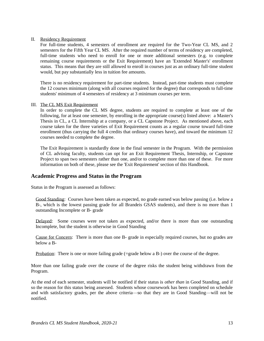#### II. Residency Requirement

For full-time students, 4 semesters of enrollment are required for the Two-Year CL MS, and 2 semesters for the Fifth Year CL MS. After the required number of terms of residency are completed, full-time students who need to enroll for one or more additional semesters (e.g. to complete remaining course requirements or the Exit Requirement) have an 'Extended Master's' enrollment status. This means that they are still allowed to enroll in courses just as an ordinary full-time student would, but pay substantially less in tuition fee amounts.

There is no residency requirement for part-time students. Instead, part-time students must complete the 12 courses minimum (along with all courses required for the degree) that corresponds to full-time students' minimum of 4 semesters of residency at 3 minimum courses per term.

#### III. The CL MS Exit Requirement

In order to complete the CL MS degree, students are required to complete at least one of the following, for at least one semester, by enrolling in the appropriate course(s) listed above: a Master's Thesis in CL, a CL Internship at a company, or a CL Capstone Project. As mentioned above, each course taken for the three varieties of Exit Requirement counts as a regular course toward full-time enrollment (thus carrying the full 4 credits that ordinary courses have), and toward the minimum 12 courses needed to complete the degree.

The Exit Requirement is standardly done in the final semester in the Program. With the permission of CL advising faculty, students can opt for an Exit Requirement Thesis, Internship, or Capstone Project to span two semesters rather than one, and/or to complete more than one of these. For more information on both of these, please see the 'Exit Requirement' section of this Handbook.

#### **Academic Progress and Status in the Program**

Status in the Program is assessed as follows:

Good Standing: Courses have been taken as expected, no grade earned was below passing (i.e. below a B-, which is the lowest passing grade for all Brandeis GSAS students), and there is no more than 1 outstanding Incomplete or B- grade

Delayed: Some courses were not taken as expected, and/or there is more than one outstanding Incomplete, but the student is otherwise in Good Standing

Cause for Concern: There is more than one B- grade in especially required courses, but no grades are below a B-

Probation: There is one or more failing grade (=grade below a B-) over the course of the degree.

More than one failing grade over the course of the degree risks the student being withdrawn from the Program.

At the end of each semester, students will be notified if their status is *other than* in Good Standing, and if so the reason for this status being assessed. Students whose coursework has been completed on schedule and with satisfactory grades, per the above criteria—so that they are in Good Standing—will not be notified.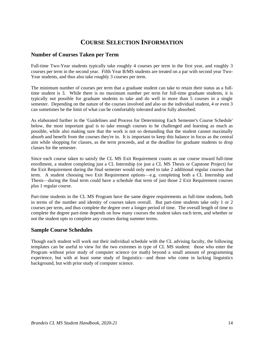## **COURSE SELECTION INFORMATION**

#### **Number of Courses Taken per Term**

Full-time Two-Year students typically take roughly 4 courses per term in the first year, and roughly 3 courses per term in the second year. Fifth Year B/MS students are treated on a par with second year Two-Year students, and thus also take roughly 3 courses per term.

The minimum number of courses per term that a graduate student can take to retain their status as a fulltime student is 3. While there is no maximum number per term for full-time graduate students, it is typically not possible for graduate students to take and do well in more than 5 courses in a single semester. Depending on the nature of the courses involved and also on the individual student, 4 or even 3 can sometimes be the limit of what can be comfortably tolerated and/or fully absorbed.

As elaborated further in the 'Guidelines and Process for Determining Each Semester's Course Schedule' below, the most important goal is to take enough courses to be challenged and learning as much as possible, while also making sure that the work is not so demanding that the student cannot maximally absorb and benefit from the courses they're in. It is important to keep this balance in focus as the central aim while shopping for classes, as the term proceeds, and at the deadline for graduate students to drop classes for the semester.

Since each course taken to satisfy the CL MS Exit Requirement counts as one course toward full-time enrollment, a student completing just a CL Internship (or just a CL MS Thesis or Capstone Project) for the Exit Requirement during the final semester would only need to take 2 additional regular courses that term. A student choosing two Exit Requirement options—e.g. completing both a CL Internship and Thesis—during the final term could have a schedule that term of just those 2 Exit Requirement courses plus 1 regular course.

Part-time students in the CL MS Program have the same degree requirements as full-time students, both in terms of the number and identity of courses taken overall. But part-time students take only 1 or 2 courses per term, and thus complete the degree over a longer period of time. The overall length of time to complete the degree part-time depends on how many courses the student takes each term, and whether or not the student opts to complete any courses during summer terms.

#### **Sample Course Schedules**

Though each student will work out their individual schedule with the CL advising faculty, the following templates can be useful to view for the two extremes in type of CL MS student: those who enter the Program without prior study of computer science (or math) beyond a small amount of programming experience, but with at least some study of linguistics—and those who come in lacking linguistics background, but with prior study of computer science.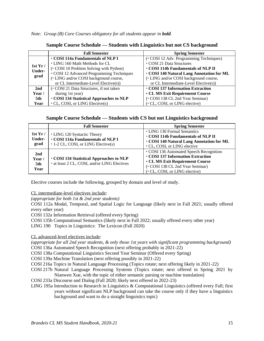*Note: Group (B) Core Courses obligatory for all students appear in bold.*

|                 | <b>Fall Semester</b>                            | <b>Spring Semester</b>                  |
|-----------------|-------------------------------------------------|-----------------------------------------|
|                 | • COSI 114a Fundamentals of NLP I               | (COSI 12 Adv. Programming Techniques)   |
| 1st $Yr/$       | • LING 160 Math Methods for CL                  | COSI 21 Data Structures                 |
| <b>Under-</b>   | (COSI 10 Problem Solving with Python)           | • COSI 114b Fundamentals of NLP II      |
|                 | • COSI 12 Advanced Programming Techniques       | COSI 140 Natural Lang Annotation for ML |
| grad            | (• LING and/or COSI background course,          | (• LING and/or COSI background course,  |
|                 | or CL Intermediate-Level Elective(s))           | or CL Intermediate-Level Elective(s))   |
| 2 <sub>nd</sub> | ( $\cdot$ COSI 21 Data Structures, if not taken | COSI 137 Information Extraction         |
| Year /          | during 1st year)                                | • CL MS Exit Requirement Course         |
| 5th             | · COSI 134 Statistical Approaches to NLP        | ( $\cdot$ COSI 138 CL 2nd Year Seminar) |
| Year            | $\cdot$ CL, COSI, or LING Elective(s)           | (CL, COSI, or LING elective)            |

**Sample Course Schedule — Students with Linguistics but not CS background**

|                                          | <b>Fall Semester</b>                                                                                          | <b>Spring Semester</b>                                                                                                                                                                 |
|------------------------------------------|---------------------------------------------------------------------------------------------------------------|----------------------------------------------------------------------------------------------------------------------------------------------------------------------------------------|
| 1st $Yr/$<br><b>Under-</b><br>grad       | • LING 120 Syntactic Theory<br>· COSI 114a Fundamentals of NLP I<br>$\cdot$ 1-2 CL, COSI, or LING Elective(s) | • LING 130 Formal Semantics<br>COSI 114b Fundamentals of NLP II<br>COSI 140 Natural Lang Annotation for ML<br>CL, COSI, or LING elective                                               |
| 2 <sub>nd</sub><br>Year /<br>5th<br>Year | COSI 134 Statistical Approaches to NLP<br>• at least 2 CL, COSI, and/or LING Electives                        | • COSI 136 Automated Speech Recognition<br>COSI 137 Information Extraction<br><b>• CL MS Exit Requirement Course</b><br>(COSI 138 CL 2nd Year Seminar)<br>(CL, COSI, or LING elective) |

Elective courses include the following, grouped by domain and level of study.

CL intermediate-level electives include:

*(appropriate for both 1st & 2nd year students)* 

COSI 112a Modal, Temporal, and Spatial Logic for Language (likely next in Fall 2021; usually offered every other year)

COSI 132a Information Retrieval (offered every Spring)

COSI 135b Computational Semantics (likely next in Fall 2022; usually offered every other year)

LING 190 Topics in Linguistics: The Lexicon (Fall 2020)

CL advanced-level electives include:

*(appropriate for all 2nd year students, & only those 1st years with significant programming background)* COSI 136a Automated Speech Recognition (next offering probably in 2021-22)

COSI 138a Computational Linguistics Second Year Seminar (Offered every Spring)

COSI 139a Machine Translation (next offering possibly in 2021-22)

COSI 216a Topics in Natural Language Processing (Topics rotate; next offering likely in 2021-22)

- COSI 217b Natural Language Processing Systems (Topics rotate; next offered in Spring 2021 by Nianwen Xue, with the topic of either semantic parsing or machine translation)
- COSI 233a Discourse and Dialog (Fall 2020; likely next offered in 2022-23)
- LING 195a Introduction to Research in Linguistics & Computational Linguistics (offered every Fall; first years without significant NLP background can take the course only if they have a linguistics background and want to do a straight linguistics topic)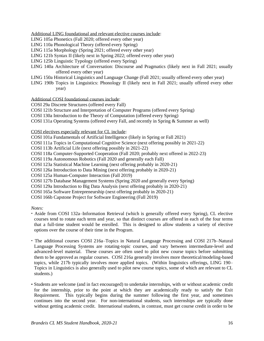Additional LING foundational and relevant elective courses include:

LING 105a Phonetics (Fall 2020; offered every other year)

LING 110a Phonological Theory (offered every Spring)

- LING 115a Morphology (Spring 2021; offered every other year)
- LING 121b Syntax II (likely next in Spring 2022; offered every other year)
- LING 125b Linguistic Typology (offered every Spring)
- LING 140a Architecture of Conversation: Discourse and Pragmatics (likely next in Fall 2021; usually offered every other year)
- LING 150a Historical Linguistics and Language Change (Fall 2021; usually offered every other year)
- LING 190b Topics in Linguistics: Phonology II (likely next in Fall 2021; usually offered every other year)

Additional COSI foundational courses include:

- COSI 29a Discrete Structures (offered every Fall)
- COSI 121b Structure and Interpretation of Computer Programs (offered every Spring)
- COSI 130a Introduction to the Theory of Computation (offered every Spring)

COSI 131a Operating Systems (offered every Fall, and recently in Spring & Summer as well)

#### COSI electives especially relevant for CL include:

- COSI 101a Fundamentals of Artificial Intelligence (likely in Spring or Fall 2021)
- COSI 111a Topics in Computational Cognitive Science (next offering possibly in 2021-22)
- COSI 113b Artificial Life (next offering possibly in 2021-22)
- COSI 118a Computer-Supported Cooperation (Fall 2020; probably next offered in 2022-23)

COSI 119a Autonomous Robotics (Fall 2020 and generally each Fall)

COSI 123a Statistical Machine Learning (next offering probably in 2020-21)

COSI 126a Introduction to Data Mining (next offering probably in 2020-21)

COSI 125a Human-Computer Interaction (Fall 2019)

COSI 127b Database Management Systems (Spring 2020 and generally every Spring)

COSI 129a Introduction to Big Data Analysis (next offering probably in 2020-21)

COSI 165a Software Entrepreneurship (next offering probably in 2020-21)

COSI 166b Capstone Project for Software Engineering (Fall 2019)

*Notes:*

- Aside from COSI 132a–Information Retrieval (which is generally offered every Spring), CL elective courses tend to rotate each term and year, so that distinct courses are offered in each of the four terms that a full-time student would be enrolled. This is designed to allow students a variety of elective options over the course of their time in the Program.
- The additional courses COSI 216a–Topics in Natural Language Processing and COSI 217b–Natural Language Processing Systems are rotating-topic courses, and vary between intermediate-level and advanced-level material. These courses are often used to pilot new course topics before submitting them to be approved as regular courses. COSI 216a generally involves more theoretical/modeling-based topics, while 217b typically involves more applied topics. (Within linguistics offerings, LING 190– Topics in Linguistics is also generally used to pilot new course topics, some of which are relevant to CL students.)
- Students are welcome (and in fact encouraged) to undertake internships, with or without academic credit for the internship, prior to the point at which they are academically ready to satisfy the Exit Requirement. This typically begins during the summer following the first year, and sometimes continues into the second year. For non-international students, such internships are typically done without getting academic credit. International students, in contrast, must get course credit in order to be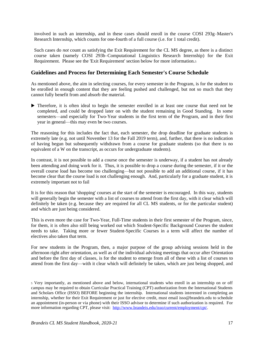involved in such an internship, and in these cases should enroll in the course COSI 293g–Master's Research Internship, which counts for one-fourth of a full course (i.e. for 1 total credit).

Such cases do *not* count as satisfying the Exit Requirement for the CL MS degree, as there is a distinct course taken (namely COSI 293b–Computational Linguistics Research Internship) for the Exit Requirement. Please see the 'Exit Requirement' section below for more information.<sup>5</sup>

#### **Guidelines and Process for Determining Each Semester's Course Schedule**

As mentioned above, the aim in selecting courses, for every semester in the Program, is for the student to be enrolled in enough content that they are feeling pushed and challenged, but not so much that they cannot fully benefit from and absorb the material.

 Therefore, it is often ideal to begin the semester enrolled in at least one course that need not be completed, and could be dropped later on with the student remaining in Good Standing. In some semesters—and especially for Two-Year students in the first term of the Program, and in their first year in general—this may even be two courses.

The reasoning for this includes the fact that, each semester, the drop deadline for graduate students is extremely late (e.g. not until November 13 for the Fall 2019 term), and, further, that there is no indication of having begun but subsequently withdrawn from a course for graduate students (so that there is no equivalent of a W on the transcript, as occurs for undergraduate students).

In contrast, it is not possible to add a course once the semester is underway, if a student has not already been attending and doing work for it. Thus, it is possible to drop a course during the semester, if it or the overall course load has become too challenging—but not possible to add an additional course, if it has become clear that the course load is not challenging enough. And, particularly for a graduate student, it is extremely important not to fail

It is for this reason that 'shopping' courses at the start of the semester is encouraged. In this way, students will generally begin the semester with a list of courses to attend from the first day, with it clear which will definitely be taken (e.g. because they are required for all CL MS students, or for the particular student) and which are just being considered.

This is even more the case for Two-Year, Full-Time students in their first semester of the Program, since, for them, it is often also still being worked out which Student-Specific Background Courses the student needs to take. Taking more or fewer Student-Specific Courses in a term will affect the number of electives also taken that term.

For new students in the Program, then, a major purpose of the group advising sessions held in the afternoon right after orientation, as well as of the individual advising meetings that occur after Orientation and before the first day of classes, is for the student to emerge from all of these with a list of courses to attend from the first day—with it clear which will definitely be taken, which are just being shopped, and

<sup>5</sup> Very importantly, as mentioned above and below, international students who enroll in an internship on or off campus may be required to obtain Curricular Practical Training (CPT) authorization from the International Students and Scholars Office (ISSO) BEFORE beginning the internship. International students interested in completing an internship, whether for their Exit Requirement or just for elective credit, must email isso@brandeis.edu to schedule an appointment (in-person or via phone) with their ISSO advisor to determine if such authorization is required. For more information regarding CPT, please visit: [http://www.brandeis.edu/isso/current/employment/cpt/.](http://www.brandeis.edu/isso/current/employment/cpt/)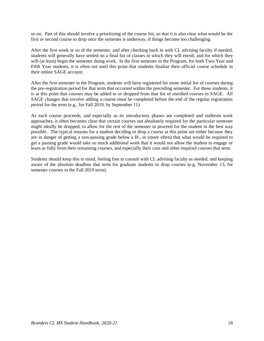so on. Part of this should involve a prioritizing of the course list, so that it is also clear what would be the first or second course to drop once the semester is underway, if things become too challenging.

After the first week or so of the semester, and after checking back in with CL advising faculty if needed, students will generally have settled on a final list of classes in which they will enroll, and for which they will (at least) begin the semester doing work. In the first semester in the Program, for both Two-Year and Fifth Year students, it is often not until this point that students finalize their official course schedule in their online SAGE account.

After the first semester in the Program, students will have registered for some initial list of courses during the pre-registration period for that term that occurred within the preceding semester. For these students, it is at this point that courses may be added to or dropped from that list of enrolled courses in SAGE. All SAGE changes that involve adding a course must be completed before the end of the regular registration period for the term (e.g., for Fall 2019, by September 11).

As each course proceeds, and especially as its introductory phases are completed and midterm work approaches, it often becomes clear that certain courses not absolutely required for the particular semester might ideally be dropped, to allow for the rest of the semester to proceed for the student in the best way possible. The typical reasons for a student deciding to drop a course at this point are either because they are in danger of getting a non-passing grade below a B-, or (more often) that what would be required to get a passing grade would take so much additional work that it would not allow the student to engage or learn as fully from their remaining courses, and especially their core and other required courses that term.

Students should keep this in mind, feeling free to consult with CL advising faculty as needed, and keeping aware of the absolute deadline that term for graduate students to drop courses (e.g. November 13, for semester courses in the Fall 2019 term).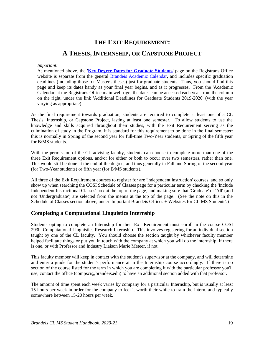# **THE EXIT REQUIREMENT: A THESIS, INTERNSHIP, OR CAPSTONE PROJECT**

#### *Important:*

As mentioned above, the '**[Key Degree Dates for Graduate Students](https://www.brandeis.edu/registrar/calendar/gradkeydates19-20.html)**' page on the Registrar's Office website is separate from the general [Brandeis Academic Calendar,](https://www.brandeis.edu/registrar/calendar/index.html) and includes specific graduation deadlines (including those for Master's theses) just for graduate students. Thus, you should find this page and keep its dates handy as your final year begins, and as it progresses. From the 'Academic Calendar' at the Registrar's Office main webpage, the dates can be accessed each year from the column on the right, under the link 'Additional Deadlines for Graduate Students 2019-2020' (with the year varying as appropriate).

As the final requirement towards graduation, students are required to complete at least one of a CL Thesis, Internship, or Capstone Project, lasting at least one semester. To allow students to use the knowledge and skills acquired throughout their studies, with the Exit Requirement serving as the culmination of study in the Program, it is standard for this requirement to be done in the final semester: this is normally in Spring of the second year for full-time Two-Year students, or Spring of the fifth year for B/MS students.

With the permission of the CL advising faculty, students can choose to complete more than one of the three Exit Requirement options, and/or for either or both to occur over two semesters, rather than one. This would still be done at the end of the degree, and thus generally in Fall and Spring of the second year (for Two-Year students) or fifth year (for B/MS students).

All three of the Exit Requirement courses to register for are 'independent instruction' courses, and so only show up when searching the COSI Schedule of Classes page for a particular term by checking the 'Include Independent Instructional Classes' box at the top of the page, and making sure that 'Graduate' or 'All' (and not 'Undergraduate') are selected from the menus at the top of the page. (See the note on this in the Schedule of Classes section above, under 'Important Brandeis Offices + Websites for CL MS Students'.)

#### **Completing a Computational Linguistics Internship**

Students opting to complete an Internship for their Exit Requirement must enroll in the course COSI 293b–Computational Linguistics Research Internship. This involves registering for an individual section taught by one of the CL faculty. You should choose the section taught by whichever faculty member helped facilitate things or put you in touch with the company at which you will do the internship, if there is one, or with Professor and Industry Liaison Marie Meteer, if not.

This faculty member will keep in contact with the student's supervisor at the company, and will determine and enter a grade for the student's performance at in the Internship course accordingly. If there is no section of the course listed for the term in which you are completing it with the particular professor you'll use, contact the office (compsci@brandeis.edu) to have an additional section added with that professor.

The amount of time spent each week varies by company for a particular Internship, but is usually at least 15 hours per week in order for the company to feel it worth their while to train the intern, and typically somewhere between 15-20 hours per week.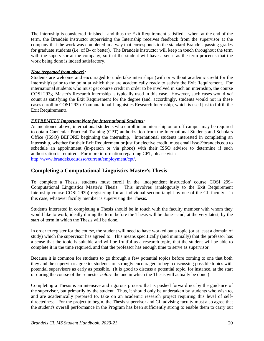The Internship is considered finished—and thus the Exit Requirement satisfied—when, at the end of the term, the Brandeis instructor supervising the Internship receives feedback from the supervisor at the company that the work was completed in a way that corresponds to the standard Brandeis passing grades for graduate students (i.e. of B- or better). The Brandeis instructor will keep in touch throughout the term with the supervisor at the company, so that the student will have a sense as the term proceeds that the work being done is indeed satisfactory.

#### *Note (repeated from above):*

Students are welcome and encouraged to undertake internships (with or without academic credit for the Internship) prior to the point at which they are academically ready to satisfy the Exit Requirement. For international students who must get course credit in order to be involved in such an internship, the course COSI 293g–Master's Research Internship is typically used in this case. However, such cases would *not* count as satisfying the Exit Requirement for the degree (and, accordingly, students would not in these cases enroll in COSI 293b–Computational Linguistics Research Internship, which is used just to fulfill the Exit Requirement).

#### *EXTREMELY Important Note for International Students:*

As mentioned above, international students who enroll in an internship on or off campus may be required to obtain Curricular Practical Training (CPT) authorization from the International Students and Scholars Office (ISSO) BEFORE beginning the internship. International students interested in completing an internship, whether for their Exit Requirement or just for elective credit, must email isso@brandeis.edu to schedule an appointment (in-person or via phone) with their ISSO advisor to determine if such authorization is required. For more information regarding CPT, please visit: [http://www.brandeis.edu/isso/current/employment/cpt/.](http://www.brandeis.edu/isso/current/employment/cpt/)

#### **Completing a Computational Linguistics Master's Thesis**

To complete a Thesis, students must enroll in the 'independent instruction' course COSI 299– Computational Linguistics Master's Thesis. This involves (analogously to the Exit Requirement Internship course COSI 293b) registering for an individual section taught by one of the CL faculty—in this case, whatever faculty member is supervising the Thesis.

Students interested in completing a Thesis should be in touch with the faculty member with whom they would like to work, ideally during the term before the Thesis will be done—and, at the very latest, by the start of term in which the Thesis will be done.

In order to register for the course, the student will need to have worked out a topic (or at least a domain of study) which the supervisor has agreed to. This means specifically (and minimally) that the professor has a sense that the topic is suitable and will be fruitful as a research topic, that the student will be able to complete it in the time required, and that the professor has enough time to serve as supervisor.

Because it is common for students to go through a few potential topics before coming to one that both they and the supervisor agree to, students are strongly encouraged to begin discussing possible topics with potential supervisors as early as possible. (It is good to discuss a potential topic, for instance, at the start or during the course of the semester *before* the one in which the Thesis will actually be done.)

Completing a Thesis is an intensive and rigorous process that is pushed forward not by the guidance of the supervisor, but primarily by the student. Thus, it should only be undertaken by students who wish to, and are academically prepared to, take on an academic research project requiring this level of selfdirectedness. For the project to begin, the Thesis supervisor and CL advising faculty must also agree that the student's overall performance in the Program has been sufficiently strong to enable them to carry out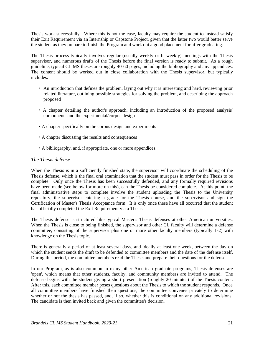Thesis work successfully. Where this is not the case, faculty may require the student to instead satisfy their Exit Requirement via an Internship or Capstone Project, given that the latter two would better serve the student as they prepare to finish the Program and work out a good placement for after graduating.

The Thesis process typically involves regular (usually weekly or bi-weekly) meetings with the Thesis supervisor, and numerous drafts of the Thesis before the final version is ready to submit. As a rough guideline, typical CL MS theses are roughly 40-60 pages, including the bibliography and any appendices. The content should be worked out in close collaboration with the Thesis supervisor, but typically includes:

- An introduction that defines the problem, laying out why it is interesting and hard, reviewing prior related literature, outlining possible strategies for solving the problem, and describing the approach proposed
- A chapter detailing the author's approach, including an introduction of the proposed analysis' components and the experimental/corpus design
- A chapter specifically on the corpus design and experiments
- A chapter discussing the results and consequences
- A bibliography, and, if appropriate, one or more appendices.

#### *The Thesis defense*

When the Thesis is in a sufficiently finished state, the supervisor will coordinate the scheduling of the Thesis defense, which is the final oral examination that the student must pass in order for the Thesis to be complete. Only once the Thesis has been successfully defended, and any formally required revisions have been made (see below for more on this), can the Thesis be considered complete. At this point, the final administrative steps to complete involve the student uploading the Thesis to the University repository, the supervisor entering a grade for the Thesis course, and the supervisor and sign the Certification of Master's Thesis Acceptance form. It is only once these have all occurred that the student has officially completed the Exit Requirement via a Thesis.

The Thesis defense is structured like typical Master's Thesis defenses at other American universities. When the Thesis is close to being finished, the supervisor and other CL faculty will determine a defense committee, consisting of the supervisor plus one or more other faculty members (typically 1-2) with knowledge on the Thesis topic.

There is generally a period of at least several days, and ideally at least one week, between the day on which the student sends the draft to be defended to committee members and the date of the defense itself. During this period, the committee members read the Thesis and prepare their questions for the defense.

In our Program, as is also common in many other American graduate programs, Thesis defenses are 'open', which means that other students, faculty, and community members are invited to attend. The defense begins with the student giving a short presentation (roughly 20 minutes) of the Thesis content. After this, each committee member poses questions about the Thesis to which the student responds. Once all committee members have finished their questions, the committee convenes privately to determine whether or not the thesis has passed, and, if so, whether this is conditional on any additional revisions. The candidate is then invited back and given the committee's decision.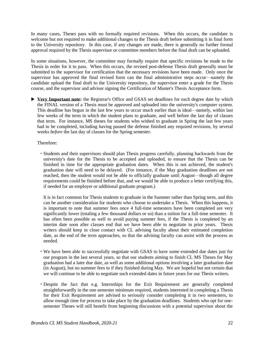In many cases, Theses pass with no formally required revisions. When this occurs, the candidate is welcome but not required to make additional changes to the Thesis draft before submitting it in final form to the University repository. In this case, if any changes are made, there is generally no further formal approval required by the Thesis supervisor or committee members before the final draft can be uploaded.

In some situations, however, the committee may formally require that specific revisions be made to the Thesis in order for it to pass. When this occurs, the revised post-defense Thesis draft generally must be submitted to the supervisor for certification that the necessary revisions have been made. Only once the supervisor has approved the final revised form can the final administrative steps occur—namely the candidate upload the final draft to the University repository, the supervisor enter a grade for the Thesis course, and the supervisor and advisor signing the Certification of Master's Thesis Acceptance form.

**Very Important note:** the Registrar's Office and GSAS set deadlines for each degree date by which the FINAL version of a Thesis must be approved and uploaded into the university's computer system. This deadline has begun in the last few years to occur much earlier than is ideal—namely, within last few weeks of the term in which the student plans to graduate, and well before the last day of classes that term. For instance, MS theses for students who wished to graduate in Spring the last few years had to be completed, including having passed the defense finished any required revisions, by several weeks *before* the last day of classes for the Spring semester.

Therefore:

 Students and their supervisors should plan Thesis progress carefully, planning backwards from the university's date for the Thesis to be accepted and uploaded, to ensure that the Thesis can be finished in time for the appropriate graduation dates. When this is not achieved, the student's graduation date will need to be delayed. (For instance, if the May graduation deadlines are not reached, then the student would not be able to officially graduate until August—though all degree requirements could be finished before that, and we would be able to produce a letter certifying this, if needed for an employer or additional graduate program.)

It is in fact common for Thesis students to graduate in the Summer rather than Spring term, and this can be another consideration for students who choose to undertake a Thesis. When this happens, it is important to note that summer fees once 4 full-time semesters have been completed are very significantly lower (totaling a few thousand dollars or so) than a tuition for a full-time semester. It has often been possible as well to avoid paying summer fees, if the Thesis is completed by an interim date soon after classes end that we have been able to negotiate in prior years. Thesis writers should keep in close contact with CL advising faculty about their estimated completion date, as the end of the term approaches, so that the advising faculty can assist with the process as needed.

- We have been able to successfully negotiate with GSAS to have some extended due dates just for our program in the last several years, so that our students aiming to finish CL MS Theses for May graduation had a later due date, as well as some additional options involving a later graduation date (in August), but no summer fees to if they finished during May. We are hopeful but not certain that we will continue to be able to negotiate such extended dates in future years for our Thesis writers.
- Despite the fact that e.g. Internships for the Exit Requirement are generally completed straightforwardly in the one semester minimum required, students interested in completing a Thesis for their Exit Requirement are advised to seriously consider completing it in two semesters, to allow enough time for process to take place by the graduation deadlines. Students who opt for onesemester Theses will still benefit from beginning discussions with a potential supervisor about the